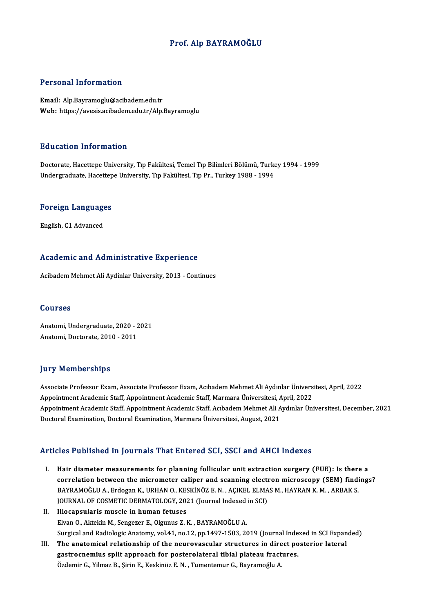### Prof. Alp BAYRAMOĞLU

#### Personal Information

Email: Alp.Bayramoglu@acibadem.edu.tr Web: https://avesis.acibadem.edu.tr/Alp.Bayramoglu

#### Education Information

Education Information<br>Doctorate, Hacettepe University, Tıp Fakültesi, Temel Tıp Bilimleri Bölümü, Turkey 1994 - 1999<br>Undergraduate Hacettepe University, Tıp Fakültesi, Tıp Pr., Turkey 1999 - 1994 Luususeen entselmatesisen<br>Doctorate, Hacettepe University, Tıp Fakültesi, Temel Tıp Bilimleri Bölümü, Turke<br>Undergraduate, Hacettepe University, Tıp Fakültesi, Tıp Pr., Turkey 1988 - 1994

# <sub>ondergraduate, nacettep</sub><br>Foreign Languages <mark>Foreign Language</mark><br>English, C1 Advanced

# engiish, C1 Advanced<br>Academic and Administrative Experience A<mark>cademic and Administrative Experience</mark><br>Acibadem Mehmet Ali Aydinlar University, 2013 - Continues

Acibadem Mehmet Ali Aydinlar University, 2013 - Continues<br>Courses

Courses<br>Anatomi, Undergraduate, 2020 - 2021<br>Anatomi, Desterate, 2010 - 2011 Sourses<br>Anatomi, Undergraduate, 2020 - 2<br>Anatomi, Doctorate, 2010 - 2011 Anatomi, Doctorate, 2010 - 2011<br>Jury Memberships

**Jury Memberships**<br>Associate Professor Exam, Associate Professor Exam, Acıbadem Mehmet Ali Aydınlar Üniversitesi, April, 2022<br>Anneintment Asademis Steff, Anneintment Asademis Steff, Mermana Üniversitesi, April, 2022 Associate Professor Exam, Associate Professor Exam, Acıbadem Mehmet Ali Aydınlar Ünivers<br>Appointment Academic Staff, Appointment Academic Staff, Marmara Üniversitesi, April, 2022<br>Appointment Academic Staff, Appointment Aca Associate Professor Exam, Associate Professor Exam, Acıbadem Mehmet Ali Aydınlar Üniversitesi, April, 2022<br>Appointment Academic Staff, Appointment Academic Staff, Marmara Üniversitesi, April, 2022<br>Appointment Academic Staf Appointment Academic Staff, Appointment Academic Staff, Marmara Üniversitesi, *f*<br>Appointment Academic Staff, Appointment Academic Staff, Acıbadem Mehmet Ali A<br>Doctoral Examination, Doctoral Examination, Marmara Üniversite Doctoral Examination, Doctoral Examination, Marmara Üniversitesi, August, 2021<br>Articles Published in Journals That Entered SCI, SSCI and AHCI Indexes

- I. Hair diameter measurements for planning follicular unit extraction surgery (FUE): Is there a correlation between the micrometer caliper and scanning electron microscopy (SEM) findings? BAYRAMOĞLU A., Erdogan K., URHAN O., KESKİNÖZ E. N., AÇIKEL ELMAS M., HAYRAN K. M., ARBAK S. correlation between the micrometer caliper and scanning electron<br>BAYRAMOĞLU A., Erdogan K., URHAN O., KESKİNÖZ E. N. , AÇIKEL ELMA<br>JOURNAL OF COSMETIC DERMATOLOGY, 2021 (Journal Indexed in SCI)<br>Hiesensularis mussle in buma BAYRAMOĞLU A., Erdogan K., URHAN O., KE.<br>JOURNAL OF COSMETIC DERMATOLOGY, 202<br>II. Iliocapsularis muscle in human fetuses
- JOURNAL OF COSMETIC DERMATOLOGY, 2021 (Journal Indexed<br>Iliocapsularis muscle in human fetuses<br>Elvan O., Aktekin M., Sengezer E., Olgunus Z.K. , BAYRAMOĞLU A.<br>Surgisel and Badialogie Anstamy, vol.41, no.12, nn.1497,1593, 20 Iliocapsularis muscle in human fetuses<br>Elvan O., Aktekin M., Sengezer E., Olgunus Z. K. , BAYRAMOĞLU A.<br>Surgical and Radiologic Anatomy, vol.41, no.12, pp.1497-1503, 2019 (Journal Indexed in SCI Expanded)<br>The anatomisel re Elvan O., Aktekin M., Sengezer E., Olgunus Z. K. , BAYRAMOĞLU A.<br>Surgical and Radiologic Anatomy, vol.41, no.12, pp.1497-1503, 2019 (Journal Indexed in SCI Expan<br>III. The anatomical relationship of the neurovascular struct
- Surgical and Radiologic Anatomy, vol.41, no.12, pp.1497-1503, 2019 (Journal Inder<br>The anatomical relationship of the neurovascular structures in direct por<br>gastrocnemius split approach for posterolateral tibial plateau fra The anatomical relationship of the neurovascular structures in dire<br>gastrocnemius split approach for posterolateral tibial plateau fract<br>Özdemir G., Yilmaz B., Şirin E., Keskinöz E. N. , Tumentemur G., Bayramoğlu A.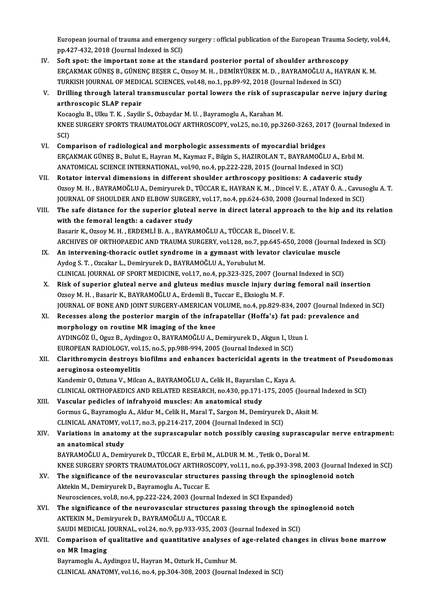European journal of trauma and emergency surgery : official publication of the European Trauma Society, vol.44,<br>nn 427,422,2018 (Journal Indeved in SCD) European journal of trauma and emergency<br>pp.427-432, 2018 (Journal Indexed in SCI)<br>Seft anet: the impertant gene at the st European journal of trauma and emergency surgery : official publication of the European Trauma S<br>pp.427-432, 2018 (Journal Indexed in SCI)<br>IV. Soft spot: the important zone at the standard posterior portal of shoulder arth

- pp.427-432, 2018 (Journal Indexed in SCI)<br>Soft spot: the important zone at the standard posterior portal of shoulder arthroscopy<br>ERÇAKMAK GÜNEŞ B., GÜNENÇ BEŞER C., Ozsoy M. H. , DEMİRYÜREK M. D. , BAYRAMOĞLU A., HAYRAN K. IV. Soft spot: the important zone at the standard posterior portal of shoulder arthroscopy ERÇAKMAK GÜNEŞ B., GÜNENÇ BEŞER C., Ozsoy M. H. , DEMİRYÜREK M. D. , BAYRAMOĞLU A., HAYRAN K. M.<br>TURKISH JOURNAL OF MEDICAL SCIENCES, vol.48, no.1, pp.89-92, 2018 (Journal Indexed in SCI)<br>V. Drilling through lateral tr
- TURKISH JOURNAL OF MEDICAL SCIENCES, vol.48, no.1, pp.89-92, 2018 (Journal Indexed in SCI)<br>Drilling through lateral transmuscular portal lowers the risk of suprascapular nerve<br>arthroscopic SLAP repair<br>Kocaoglu B., Ulku T. Drilling through lateral transmuscular portal lowers the risk of sup<br>arthroscopic SLAP repair<br>Kocaoglu B., Ulku T. K. , Sayilir S., Ozbaydar M. U. , Bayramoglu A., Karahan M.<br>KNEE SUDCERV SPORTS TRAUMATOLOCY ARTHROSCORY vo

arthroscopic SLAP repair<br>Kocaoglu B., Ulku T. K. , Sayilir S., Ozbaydar M. U. , Bayramoglu A., Karahan M.<br>KNEE SURGERY SPORTS TRAUMATOLOGY ARTHROSCOPY, vol.25, no.10, pp.3260-3263, 2017 (Journal Indexed in<br>SCD Koca<br>KNE<br>SCI)<br>Com KNEE SURGERY SPORTS TRAUMATOLOGY ARTHROSCOPY, vol.25, no.10, pp.3260-3263, 201<br>SCI)<br>VI. Comparison of radiological and morphologic assessments of myocardial bridges<br>EDGAKMAK CÜNES B. Bulut E. Hayran M. Kaymar E. Bikin S. H

- SCI)<br>Comparison of radiological and morphologic assessments of myocardial bridges<br>ERÇAKMAK GÜNEŞ B., Bulut E., Hayran M., Kaymaz F., Bilgin S., HAZIROLAN T., BAYRAMOĞLU A., Erbil M.<br>ANATOMICAL SCIENCE INTERNATIONAL, vol.90 Comparison of radiological and morphologic assessments of myocardial bridges<br>ERÇAKMAK GÜNEŞ B., Bulut E., Hayran M., Kaymaz F., Bilgin S., HAZIROLAN T., BAYRAMOĞLU A., E<br>ANATOMICAL SCIENCE INTERNATIONAL, vol.90, no.4, pp.2
- VII. Rotator interval dimensions in different shoulder arthroscopy positions: A cadaveric study OzsoyM.H. ,BAYRAMOĞLUA.,DemiryurekD.,TÜCCARE.,HAYRANK.M. ,DincelV.E. ,ATAYÖ.A. ,CavusogluA.T. Rotator interval dimensions in different shoulder arthroscopy positions: A cadaveric study<br>Ozsoy M. H. , BAYRAMOĞLU A., Demiryurek D., TÜCCAR E., HAYRAN K. M. , Dincel V. E. , ATAY Ö. A. , Cavus<br>JOURNAL OF SHOULDER AND ELB Ozsoy M. H., BAYRAMOĞLU A., Demiryurek D., TÜCCAR E., HAYRAN K. M., Dincel V. E., ATAY Ö. A., Cavusoglu A. T.<br>JOURNAL OF SHOULDER AND ELBOW SURGERY, vol.17, no.4, pp.624-630, 2008 (Journal Indexed in SCI)<br>VIII. The safe di
- JOURNAL OF SHOULDER AND ELBOW SURGER<br>The safe distance for the superior glutea<br>with the femoral length: a cadaver study<br>Besarin K, Orsey M, H, EPDEMLI B, A, BAYRA The safe distance for the superior gluteal nerve in direct lateral approach to the hip and its relation<br>with the femoral length: a cadaver study<br>Basarir K., Ozsoy M. H., ERDEMLİ B. A., BAYRAMOĞLU A., TÜCCAR E., Dincel V. E with the femoral length: a cadaver study<br>Basarir K., Ozsoy M. H. , ERDEMLİ B. A. , BAYRAMOĞLU A., TÜCCAR E., Dincel V. E.<br>ARCHIVES OF ORTHOPAEDIC AND TRAUMA SURGERY, vol.128, no.7, pp.645-650, 2008 (Journal Indexed in SCI) Basarir K., Ozsoy M. H., ERDEMLİ B. A., BAYRAMOĞLU A., TÜCCAR E., Dincel V. E.<br>ARCHIVES OF ORTHOPAEDIC AND TRAUMA SURGERY, vol.128, no.7, pp.645-650, 2008 (Journal IX.<br>IX. An intervening-thoracic outlet syndrome in a gymna
- ARCHIVES OF ORTHOPAEDIC AND TRAUMA SURGERY, vol.128, no.7, p<sub>l</sub><br>An intervening-thoracic outlet syndrome in a gymnast with lev<br>Aydog S. T. , Ozcakar L., Demiryurek D., BAYRAMOĞLU A., Yorubulut M.<br>CLINICAL JOUPNAL OF SPORT M An intervening-thoracic outlet syndrome in a gymnast with levator claviculae muscle<br>Aydog S. T. , Ozcakar L., Demiryurek D., BAYRAMOĞLU A., Yorubulut M.<br>CLINICAL JOURNAL OF SPORT MEDICINE, vol.17, no.4, pp.323-325, 2007 (J
- Aydog S. T. , Ozcakar L., Demiryurek D., BAYRAMOĞLU A., Yorubulut M.<br>CLINICAL JOURNAL OF SPORT MEDICINE, vol.17, no.4, pp.323-325, 2007 (Journal Indexed in SCI)<br>X. Risk of superior gluteal nerve and gluteus medius muscle i CLINICAL JOURNAL OF SPORT MEDICINE, vol.17, no.4, pp.323-325, 2007 (Jou<br>Risk of superior gluteal nerve and gluteus medius muscle injury dur<br>Ozsoy M. H. , Basarir K., BAYRAMOĞLU A., Erdemli B., Tuccar E., Eksioglu M. F.<br>JOU Risk of superior gluteal nerve and gluteus medius muscle injury during femoral nail insertion<br>Ozsoy M. H. , Basarir K., BAYRAMOĞLU A., Erdemli B., Tuccar E., Eksioglu M. F.<br>JOURNAL OF BONE AND JOINT SURGERY-AMERICAN VOLUME Ozsoy M. H. , Basarir K., BAYRAMOĞLU A., Erdemli B., Tuccar E., Eksioglu M. F.<br>JOURNAL OF BONE AND JOINT SURGERY-AMERICAN VOLUME, no.4, pp.829-834, 2007 (Journal Indexed<br>XI. Recesses along the posterior margin of the infra
- JOURNAL OF BONE AND JOINT SURGERY-AMERICAN V<br>Recesses along the posterior margin of the infra<br>morphology on routine MR imaging of the knee<br>AYDINGÖZ Ü. OTUZ B. AVGIDSOZ O. RAYBAMOČLUA L Recesses along the posterior margin of the infrapatellar (Hoffa's) fat pad:<br>morphology on routine MR imaging of the knee<br>AYDINGÖZ Ü., Oguz B., Aydingoz O., BAYRAMOĞLU A., Demiryurek D., Akgun I., Uzun I.<br>EUROPEAN RADIOLOCY morphology on routine MR imaging of the knee<br>AYDINGÖZ Ü., Oguz B., Aydingoz O., BAYRAMOĞLU A., Demiryurek D., Akgun I., Uz<br>EUROPEAN RADIOLOGY, vol.15, no.5, pp.988-994, 2005 (Journal Indexed in SCI)<br>Clarithromusin destrous EUROPEAN RADIOLOGY, vol.15, no.5, pp.988-994, 2005 (Journal Indexed in SCI)
- XII. Clarithromycin destroys biofilms and enhances bactericidal agents in the treatment of Pseudomonas aeruginosa osteomyelitis

Kandemir O., Oztuna V., Milcan A., BAYRAMOĞLU A., Celik H., Bayarslan C., Kaya A. aeruginosa osteomyelitis<br>Kandemir O., Oztuna V., Milcan A., BAYRAMOĞLU A., Celik H., Bayarslan C., Kaya A.<br>CLINICAL ORTHOPAEDICS AND RELATED RESEARCH, no.430, pp.171-175, 2005 (Journal Indexed in SCI)<br>Vessular podisles of

XIII. Vascular pedicles of infrahyoid muscles: An anatomical study<br>Gormus G., Bayramoglu A., Aldur M., Celik H., Maral T., Sargon M., Demiryurek D., Aksit M. CLINICAL ORTHOPAEDICS AND RELATED RESEARCH, no.430, pp.171-175, 2005 (Journal<br>Vascular pedicles of infrahyoid muscles: An anatomical study<br>Gormus G., Bayramoglu A., Aldur M., Celik H., Maral T., Sargon M., Demiryurek D., A Vascular pedicles of infrahyoid muscles: An anatomical study<br>Gormus G., Bayramoglu A., Aldur M., Celik H., Maral T., Sargon M., Demiryurek<br>CLINICAL ANATOMY, vol.17, no.3, pp.214-217, 2004 (Journal Indexed in SCI)<br>Variation Gormus G., Bayramoglu A., Aldur M., Celik H., Maral T., Sargon M., Demiryurek D., Aksit M.<br>CLINICAL ANATOMY, vol.17, no.3, pp.214-217, 2004 (Journal Indexed in SCI)<br>XIV. Variations in anatomy at the suprascapular notch

CLINICAL ANATOMY, ve<br>Variations in anatom<br>an anatomical study<br>BAVBAMOČLILA, Domi Variations in anatomy at the suprascapular notch possibly causing suprascan<br>an anatomical study<br>BAYRAMOĞLU A., Demiryurek D., TÜCCAR E., Erbil M., ALDUR M. M. , Tetik O., Doral M.<br>KNEE SUPCERY SPORTS TRAUMATOLOCY ARTUROSCO an anatomical study<br>BAYRAMOĞLU A., Demiryurek D., TÜCCAR E., Erbil M., ALDUR M. M. , Tetik O., Doral M.<br>KNEE SURGERY SPORTS TRAUMATOLOGY ARTHROSCOPY, vol.11, no.6, pp.393-398, 2003 (Journal Indexed in SCI)<br>The significance

- BAYRAMOĞLU A., Demiryurek D., TÜCCAR E., Erbil M., ALDUR M. M. , Tetik O., Doral M.<br>KNEE SURGERY SPORTS TRAUMATOLOGY ARTHROSCOPY, vol.11, no.6, pp.393-398, 2003 (Journal Ind<br>XV. The significance of the neurovascular struct KNEE SURGERY SPORTS TRAUMATOLOGY ARTHROS<br>The significance of the neurovascular structure<br>Aktekin M., Demiryurek D., Bayramoglu A., Tuccar E. The significance of the neurovascular structures passing through the spinoglenoid notch<br>Aktekin M., Demiryurek D., Bayramoglu A., Tuccar E. Neurosciences, vol.8, no.4, pp.222-224, 2003 (Journal Indexed in SCI Expanded)
- XVI. The significance of the neurovascular structures passing through the spinoglenoid notch The significance of the neurovascular structures passing through the spir<br>AKTEKIN M., Demiryurek D., BAYRAMOĞLU A., TÜCCAR E.<br>SAUDI MEDICAL JOURNAL, vol.24, no.9, pp.933-935, 2003 (Journal Indexed in SCI)<br>Companison of qua AKTEKIN M., Demiryurek D., BAYRAMOĞLU A., TÜCCAR E.<br>SAUDI MEDICAL JOURNAL, vol.24, no.9, pp.933-935, 2003 (Journal Indexed in SCI)<br>XVII. Comparison of qualitative and quantitative analyses of age-related changes in clivus
- SAUDI MEDICAL<br>Comparison of<br>on MR Imaging<br>Paymamaghy A A Comparison of qualitative and quantitative analyses o<br>on MR Imaging<br>Bayramoglu A., Aydingoz U., Hayran M., Ozturk H., Cumhur M.<br>CUNICAL ANATOWY vol.16, no.4, nn.304,309,3003 (Journal

on MR Imaging<br>Bayramoglu A., Aydingoz U., Hayran M., Ozturk H., Cumhur M.<br>CLINICAL ANATOMY, vol.16, no.4, pp.304-308, 2003 (Journal Indexed in SCI)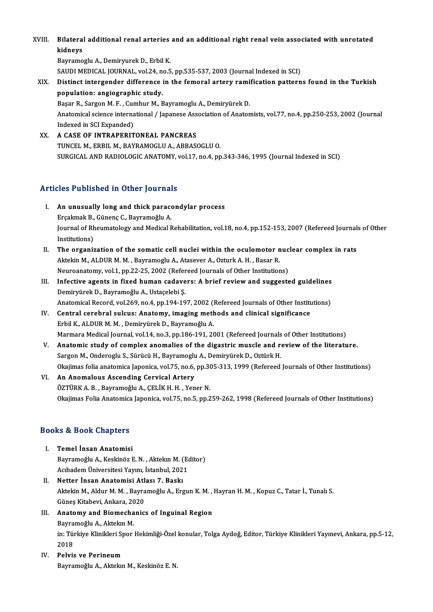# XVIII. Bilateral additional renal arteries and an additional right renal vein associated with unrotated<br>Ridneys Bilatera<br>kidneys<br><sup>Bayramo</sup> Bilateral additional renal arteries<br>kidneys<br>Bayramoglu A., Demiryurek D., Erbil K.<br>SAUDI MEDICAL JOUPNAL, vel 24, ne 5

kidneys<br>Bayramoglu A., Demiryurek D., Erbil K.<br>SAUDI MEDICAL JOURNAL, vol.24, no.5, pp.535-537, 2003 (Journal Indexed in SCI)<br>Distinct intergonder difference in the femoral extery remification pattern

# Bayramoglu A., Demiryurek D., Erbil K.<br>SAUDI MEDICAL JOURNAL, vol.24, no.5, pp.535-537, 2003 (Journal Indexed in SCI)<br>XIX. Distinct intergender difference in the femoral artery ramification patterns found in the Turkis SAUDI MEDICAL JOURNAL, vol.24, no<br>Distinct intergender difference<br>population: angiographic study.<br>Basar B. Sargon M. E. Cumbur M. B Distinct intergender difference in the femoral artery rami<br>population: angiographic study.<br>Başar R., Sargon M. F. , Cumhur M., Bayramoglu A., Demiryürek D.<br>Anatomical science international / Japanese Association of Anatom

Anatomical science international / Japanese Association of Anatomists, vol.77, no.4, pp.250-253, 2002 (Journal Indexed in SCI Expanded) Başar R., Sargon M. F. , Cur<br>Anatomical science interna<br>Indexed in SCI Expanded)<br>A CASE OF INTRAPERIT

XX. A CASE OF INTRAPERITONEAL PANCREAS TUNCEL M., ERBIL M., BAYRAMOGLU A., ABBASOGLU O. SURGICAL AND RADIOLOGIC ANATOMY, vol.17, no.4, pp.343-346, 1995 (Journal Indexed in SCI)

### Articles Published in Other Journals

- I. An unusually long and thick paracondylar process Erco + dononed in other journals<br>An unusually long and thick parace<br>Erçakmak B., Günenç C., Bayramoğlu A. Journal of Rheumatology and Medical Rehabilitation, vol.18, no.4, pp.152-153, 2007 (Refereed Journals of Other<br>Institutions) Erçakmak B.,<br>Journal of Rh<br>Institutions)<br>The ersanis Journal of Rheumatology and Medical Rehabilitation, vol.18, no.4, pp.152-153, 2007 (Refereed Journal<br>Institutions)<br>II. The organization of the somatic cell nuclei within the oculomotor nuclear complex in rats<br>Altolin M. Al
- Institutions)<br>The organization of the somatic cell nuclei within the oculomotor n<br>Aktekin M., ALDUR M. M. , Bayramoglu A., Atasever A., Ozturk A. H. , Basar R.<br>Neuroanatomy, vol.1, np.32.25, 2002 (Peforeed Journals of Othe The organization of the somatic cell nuclei within the oculomotor nuc<br>Aktekin M., ALDUR M. M., Bayramoglu A., Atasever A., Ozturk A. H., Basar R.<br>Neuroanatomy, vol.1, pp.22-25, 2002 (Refereed Journals of Other Institutions Aktekin M., ALDUR M. M., Bayramoglu A., Atasever A., Ozturk A. H., Basar R.<br>Neuroanatomy, vol.1, pp.22-25, 2002 (Refereed Journals of Other Institutions)<br>III. Infective agents in fixed human cadavers: A brief review and su
- Neuroanatomy, vol.1, pp.22-25, 2002 (Refer<br>Infective agents in fixed human cadave<br>Demiryürek D., Bayramoğlu A., Ustaçelebi Ş.<br>Anatomicel Becerd vol.269, no.4, np.194, 19 Infective agents in fixed human cadavers: A brief review and suggested guidelines<br>Demiryürek D., Bayramoğlu A., Ustaçelebi Ş.<br>Anatomical Record, vol.269, no.4, pp.194-197, 2002 (Refereed Journals of Other Institutions)<br>Con Anatomical Record, vol.269, no.4, pp.194-197, 2002 (Refereed Journals of Other Institutions)
- Demiryürek D., Bayramoğlu A., Ustaçelebi Ş.<br>Anatomical Record, vol.269, no.4, pp.194-197, 2002 (Refereed Journals of Other Institution.<br>IV. Central cerebral sulcus: Anatomy, imaging methods and clinical significance<br>Erbil Marmara Medical Journal, vol.14, no.3, pp.186-191, 2001 (Refereed Journals of Other Institutions) Erbil K., ALDUR M. M. , Demiryürek D., Bayramoğlu A.<br>Marmara Medical Journal, vol.14, no.3, pp.186-191, 2001 (Refereed Journals of Other Institutions)<br>V. Anatomic study of complex anomalies of the digastric muscle and revi
- Marmara Medical Journal, vol.14, no.3, pp.186-191, 2001 (Refereed Journals<br>Anatomic study of complex anomalies of the digastric muscle and respon M., Onderoglu S., Sürücü H., Bayramoglu A., Demiryürek D., Oztürk H.<br>Okajima Anatomic study of complex anomalies of the digastric muscle and review of the literature.<br>Sargon M., Onderoglu S., Sürücü H., Bayramoglu A., Demiryürek D., Oztürk H.<br>Okajimas folia anatomica Japonica, vol.75, no.6, pp.305-Sargon M., Onderoglu S., Sürücü H., Bayramoglu A., Demiryürek D., Oztürk H.<br>Okajimas folia anatomica Japonica, vol.75, no.6, pp.305-313, 1999 (Refereed<br>VI. An Anomalous Ascending Cervical Artery<br>ÖZTÜRK A. B. , Bayramoğlu A Okajimas folia anatomica Japonica, vol.75, no.6, pp.305-313, 1999 (Refereed Journals of Other Institutions)
- Okajimas Folia Anatomica Japonica, vol.75, no.5, pp.259-262, 1998 (Refereed Journals of Other Institutions)

### Books&Book Chapters

- I. Temel İnsan Anatomisi 19 & Doon Ghapeers<br>Temel İnsan Anatomisi<br>Bayramoğlu A., Keskinöz E. N. , Aktekın M. (Editor)<br>Ashadam Üniversitesi Yayını İstanbul 2021 Temel İnsan Anatomisi<br>Bayramoğlu A., Keskinöz E. N. , Aktekın M. (Eq<br>Acıbadem Üniversitesi Yayını, İstanbul, 2021<br>Netter İnsan Anatomisi Atlası 7. Baskı Bayramoğlu A., Keskinöz E. N. , Aktekin M. (<br>Acibadem Üniversitesi Yayını, İstanbul, 202<br>II. Netter İnsan Anatomisi Atlası 7. Baskı<br>Aktekin M. Aldur M. M. Bayramoğlu A. Ere
- Acıbadem Üniversitesi Yayını, İstanbul, 2021<br>Netter İnsan Anatomisi Atlası 7. Baskı<br>Aktekin M., Aldur M. M. , Bayramoğlu A., Ergun K. M. , Hayran H. M. , Kopuz C., Tatar İ., Tunalı S.<br>Güneş Kitabevi, Ankara, 2020 II. Netter İnsan Anatomisi Atlası 7. Baskı Aktekin M., Aldur M. M. , Bayramoğlu A., Ergun K. M. ,<br>Güneş Kitabevi, Ankara, 2020<br>III. Anatomy and Biomechanics of Inguinal Region<br>Bayramoğlu A. Aktekin M.
- Güneş Kitabevi, Ankara, 20<br>**Anatomy and Biomecha**<br>Bayramoğlu A., Aktekın M.<br>in: Türkiye Klipikleri Spor
	- Bayramoğlu A., Aktekın M.

in: Türkiye Klinikleri Spor Hekimliği-Özel konular, Tolga Aydoğ, Editor, Türkiye Klinikleri Yayınevi, Ankara, pp.5-12,<br>2018

IV. Pelvis ve Perineum Bayramoğlu A., Aktekın M., Keskinöz E. N.